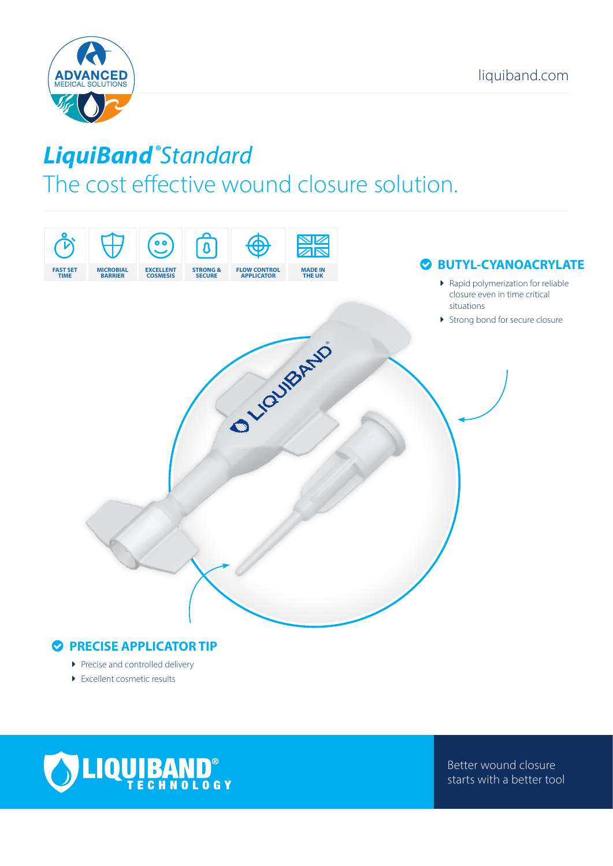

# *LiquiBand ® Standard* The cost effective wound closure solution.



### $\bullet$  **PRECISE APPLICATOR TIP**

- $\blacktriangleright$  Precise and controlled delivery
- $\blacktriangleright$  Excellent cosmetic results



Better wound closure starts with a better tool